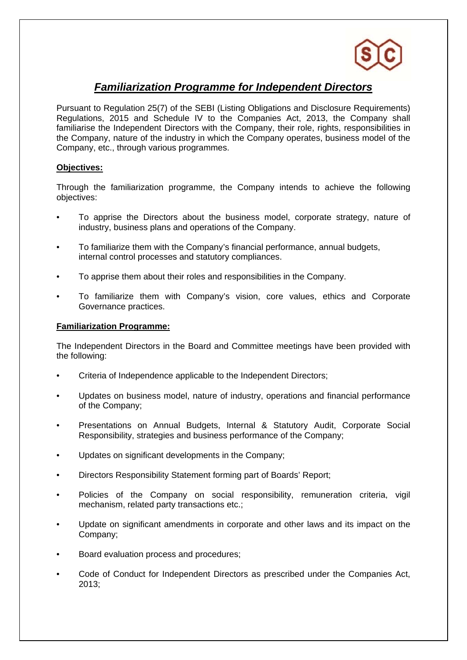

## *Familiarization Programme for Independent Directors*

Pursuant to Regulation 25(7) of the SEBI (Listing Obligations and Disclosure Requirements) Regulations, 2015 and Schedule IV to the Companies Act, 2013, the Company shall familiarise the Independent Directors with the Company, their role, rights, responsibilities in the Company, nature of the industry in which the Company operates, business model of the Company, etc., through various programmes.

## **Objectives:**

Through the familiarization programme, the Company intends to achieve the following objectives:

- To apprise the Directors about the business model, corporate strategy, nature of industry, business plans and operations of the Company.
- To familiarize them with the Company's financial performance, annual budgets, internal control processes and statutory compliances.
- To apprise them about their roles and responsibilities in the Company.
- To familiarize them with Company's vision, core values, ethics and Corporate Governance practices.

## **Familiarization Programme:**

The Independent Directors in the Board and Committee meetings have been provided with the following:

- Criteria of Independence applicable to the Independent Directors;
- Updates on business model, nature of industry, operations and financial performance of the Company;
- Presentations on Annual Budgets, Internal & Statutory Audit, Corporate Social Responsibility, strategies and business performance of the Company;
- Updates on significant developments in the Company;
- Directors Responsibility Statement forming part of Boards' Report;
- Policies of the Company on social responsibility, remuneration criteria, vigil mechanism, related party transactions etc.;
- Update on significant amendments in corporate and other laws and its impact on the Company;
- Board evaluation process and procedures;
- Code of Conduct for Independent Directors as prescribed under the Companies Act, 2013;